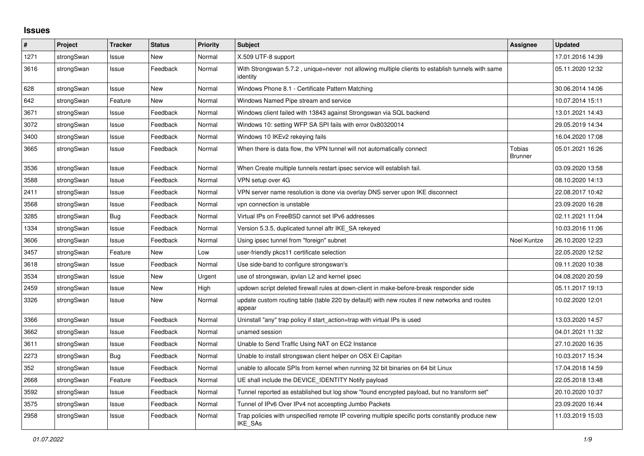## **Issues**

| #    | <b>Project</b> | <b>Tracker</b> | <b>Status</b> | <b>Priority</b> | <b>Subject</b>                                                                                                     | <b>Assignee</b>                 | <b>Updated</b>   |
|------|----------------|----------------|---------------|-----------------|--------------------------------------------------------------------------------------------------------------------|---------------------------------|------------------|
| 1271 | strongSwan     | Issue          | <b>New</b>    | Normal          | X.509 UTF-8 support                                                                                                |                                 | 17.01.2016 14:39 |
| 3616 | strongSwan     | Issue          | Feedback      | Normal          | With Strongswan 5.7.2, unique=never not allowing multiple clients to establish tunnels with same<br>identity       |                                 | 05.11.2020 12:32 |
| 628  | strongSwan     | Issue          | <b>New</b>    | Normal          | Windows Phone 8.1 - Certificate Pattern Matching                                                                   |                                 | 30.06.2014 14:06 |
| 642  | strongSwan     | Feature        | <b>New</b>    | Normal          | Windows Named Pipe stream and service                                                                              |                                 | 10.07.2014 15:11 |
| 3671 | strongSwan     | Issue          | Feedback      | Normal          | Windows client failed with 13843 against Strongswan via SQL backend                                                |                                 | 13.01.2021 14:43 |
| 3072 | strongSwan     | Issue          | Feedback      | Normal          | Windows 10: setting WFP SA SPI fails with error 0x80320014                                                         |                                 | 29.05.2019 14:34 |
| 3400 | strongSwan     | Issue          | Feedback      | Normal          | Windows 10 IKEv2 rekeying fails                                                                                    |                                 | 16.04.2020 17:08 |
| 3665 | strongSwan     | Issue          | Feedback      | Normal          | When there is data flow, the VPN tunnel will not automatically connect                                             | <b>Tobias</b><br><b>Brunner</b> | 05.01.2021 16:26 |
| 3536 | strongSwan     | Issue          | Feedback      | Normal          | When Create multiple tunnels restart ipsec service will establish fail.                                            |                                 | 03.09.2020 13:58 |
| 3588 | strongSwan     | Issue          | Feedback      | Normal          | VPN setup over 4G                                                                                                  |                                 | 08.10.2020 14:13 |
| 2411 | strongSwan     | Issue          | Feedback      | Normal          | VPN server name resolution is done via overlay DNS server upon IKE disconnect                                      |                                 | 22.08.2017 10:42 |
| 3568 | strongSwan     | Issue          | Feedback      | Normal          | vpn connection is unstable                                                                                         |                                 | 23.09.2020 16:28 |
| 3285 | strongSwan     | <b>Bug</b>     | Feedback      | Normal          | Virtual IPs on FreeBSD cannot set IPv6 addresses                                                                   |                                 | 02.11.2021 11:04 |
| 1334 | strongSwan     | Issue          | Feedback      | Normal          | Version 5.3.5, duplicated tunnel aftr IKE SA rekeyed                                                               |                                 | 10.03.2016 11:06 |
| 3606 | strongSwan     | Issue          | Feedback      | Normal          | Using ipsec tunnel from "foreign" subnet                                                                           | Noel Kuntze                     | 26.10.2020 12:23 |
| 3457 | strongSwan     | Feature        | New           | Low             | user-friendly pkcs11 certificate selection                                                                         |                                 | 22.05.2020 12:52 |
| 3618 | strongSwan     | Issue          | Feedback      | Normal          | Use side-band to configure strongswan's                                                                            |                                 | 09.11.2020 10:38 |
| 3534 | strongSwan     | Issue          | <b>New</b>    | Urgent          | use of strongswan, ipvlan L2 and kernel ipsec                                                                      |                                 | 04.08.2020 20:59 |
| 2459 | strongSwan     | Issue          | <b>New</b>    | High            | updown script deleted firewall rules at down-client in make-before-break responder side                            |                                 | 05.11.2017 19:13 |
| 3326 | strongSwan     | Issue          | <b>New</b>    | Normal          | update custom routing table (table 220 by default) with new routes if new networks and routes<br>appear            |                                 | 10.02.2020 12:01 |
| 3366 | strongSwan     | Issue          | Feedback      | Normal          | Uninstall "any" trap policy if start_action=trap with virtual IPs is used                                          |                                 | 13.03.2020 14:57 |
| 3662 | strongSwan     | Issue          | Feedback      | Normal          | unamed session                                                                                                     |                                 | 04.01.2021 11:32 |
| 3611 | strongSwan     | Issue          | Feedback      | Normal          | Unable to Send Traffic Using NAT on EC2 Instance                                                                   |                                 | 27.10.2020 16:35 |
| 2273 | strongSwan     | Bug            | Feedback      | Normal          | Unable to install strongswan client helper on OSX El Capitan                                                       |                                 | 10.03.2017 15:34 |
| 352  | strongSwan     | Issue          | Feedback      | Normal          | unable to allocate SPIs from kernel when running 32 bit binaries on 64 bit Linux                                   |                                 | 17.04.2018 14:59 |
| 2668 | strongSwan     | Feature        | Feedback      | Normal          | UE shall include the DEVICE_IDENTITY Notify payload                                                                |                                 | 22.05.2018 13:48 |
| 3592 | strongSwan     | Issue          | Feedback      | Normal          | Tunnel reported as established but log show "found encrypted payload, but no transform set"                        |                                 | 20.10.2020 10:37 |
| 3575 | strongSwan     | Issue          | Feedback      | Normal          | Tunnel of IPv6 Over IPv4 not accespting Jumbo Packets                                                              |                                 | 23.09.2020 16:44 |
| 2958 | strongSwan     | Issue          | Feedback      | Normal          | Trap policies with unspecified remote IP covering multiple specific ports constantly produce new<br><b>IKE SAs</b> |                                 | 11.03.2019 15:03 |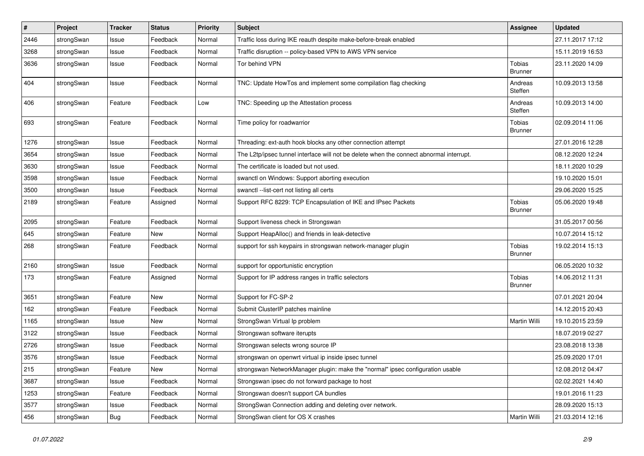| $\sharp$ | Project    | <b>Tracker</b> | <b>Status</b> | <b>Priority</b> | <b>Subject</b>                                                                          | <b>Assignee</b>          | <b>Updated</b>   |
|----------|------------|----------------|---------------|-----------------|-----------------------------------------------------------------------------------------|--------------------------|------------------|
| 2446     | strongSwan | Issue          | Feedback      | Normal          | Traffic loss during IKE reauth despite make-before-break enabled                        |                          | 27.11.2017 17:12 |
| 3268     | strongSwan | Issue          | Feedback      | Normal          | Traffic disruption -- policy-based VPN to AWS VPN service                               |                          | 15.11.2019 16:53 |
| 3636     | strongSwan | Issue          | Feedback      | Normal          | Tor behind VPN                                                                          | Tobias<br>Brunner        | 23.11.2020 14:09 |
| 404      | strongSwan | Issue          | Feedback      | Normal          | TNC: Update HowTos and implement some compilation flag checking                         | Andreas<br>Steffen       | 10.09.2013 13:58 |
| 406      | strongSwan | Feature        | Feedback      | Low             | TNC: Speeding up the Attestation process                                                | Andreas<br>Steffen       | 10.09.2013 14:00 |
| 693      | strongSwan | Feature        | Feedback      | Normal          | Time policy for roadwarrior                                                             | Tobias<br><b>Brunner</b> | 02.09.2014 11:06 |
| 1276     | strongSwan | Issue          | Feedback      | Normal          | Threading: ext-auth hook blocks any other connection attempt                            |                          | 27.01.2016 12:28 |
| 3654     | strongSwan | Issue          | Feedback      | Normal          | The L2tp/ipsec tunnel interface will not be delete when the connect abnormal interrupt. |                          | 08.12.2020 12:24 |
| 3630     | strongSwan | Issue          | Feedback      | Normal          | The certificate is loaded but not used.                                                 |                          | 18.11.2020 10:29 |
| 3598     | strongSwan | Issue          | Feedback      | Normal          | swanctl on Windows: Support aborting execution                                          |                          | 19.10.2020 15:01 |
| 3500     | strongSwan | Issue          | Feedback      | Normal          | swanctl --list-cert not listing all certs                                               |                          | 29.06.2020 15:25 |
| 2189     | strongSwan | Feature        | Assigned      | Normal          | Support RFC 8229: TCP Encapsulation of IKE and IPsec Packets                            | Tobias<br><b>Brunner</b> | 05.06.2020 19:48 |
| 2095     | strongSwan | Feature        | Feedback      | Normal          | Support liveness check in Strongswan                                                    |                          | 31.05.2017 00:56 |
| 645      | strongSwan | Feature        | New           | Normal          | Support HeapAlloc() and friends in leak-detective                                       |                          | 10.07.2014 15:12 |
| 268      | strongSwan | Feature        | Feedback      | Normal          | support for ssh keypairs in strongswan network-manager plugin                           | Tobias<br><b>Brunner</b> | 19.02.2014 15:13 |
| 2160     | strongSwan | Issue          | Feedback      | Normal          | support for opportunistic encryption                                                    |                          | 06.05.2020 10:32 |
| 173      | strongSwan | Feature        | Assigned      | Normal          | Support for IP address ranges in traffic selectors                                      | Tobias<br><b>Brunner</b> | 14.06.2012 11:31 |
| 3651     | strongSwan | Feature        | New           | Normal          | Support for FC-SP-2                                                                     |                          | 07.01.2021 20:04 |
| 162      | strongSwan | Feature        | Feedback      | Normal          | Submit ClusterIP patches mainline                                                       |                          | 14.12.2015 20:43 |
| 1165     | strongSwan | Issue          | New           | Normal          | StrongSwan Virtual Ip problem                                                           | Martin Willi             | 19.10.2015 23:59 |
| 3122     | strongSwan | Issue          | Feedback      | Normal          | Strongswan software iterupts                                                            |                          | 18.07.2019 02:27 |
| 2726     | strongSwan | Issue          | Feedback      | Normal          | Strongswan selects wrong source IP                                                      |                          | 23.08.2018 13:38 |
| 3576     | strongSwan | Issue          | Feedback      | Normal          | strongswan on openwrt virtual ip inside ipsec tunnel                                    |                          | 25.09.2020 17:01 |
| 215      | strongSwan | Feature        | New           | Normal          | strongswan NetworkManager plugin: make the "normal" ipsec configuration usable          |                          | 12.08.2012 04:47 |
| 3687     | strongSwan | Issue          | Feedback      | Normal          | Strongswan ipsec do not forward package to host                                         |                          | 02.02.2021 14:40 |
| 1253     | strongSwan | Feature        | Feedback      | Normal          | Strongswan doesn't support CA bundles                                                   |                          | 19.01.2016 11:23 |
| 3577     | strongSwan | Issue          | Feedback      | Normal          | StrongSwan Connection adding and deleting over network.                                 |                          | 28.09.2020 15:13 |
| 456      | strongSwan | Bug            | Feedback      | Normal          | StrongSwan client for OS X crashes                                                      | Martin Willi             | 21.03.2014 12:16 |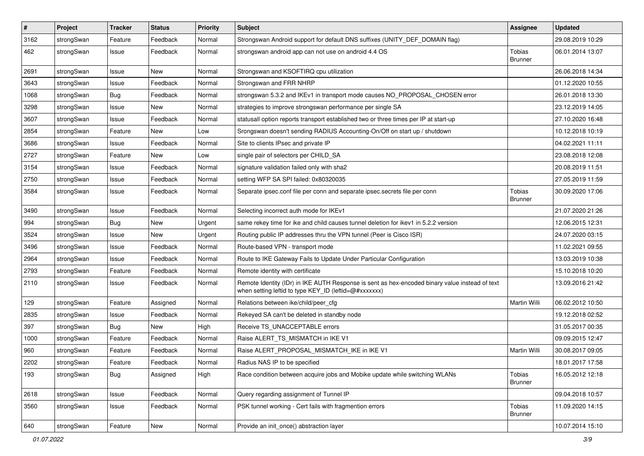| $\vert$ # | Project    | <b>Tracker</b> | <b>Status</b> | <b>Priority</b> | <b>Subject</b>                                                                                                                                          | <b>Assignee</b>                 | <b>Updated</b>   |
|-----------|------------|----------------|---------------|-----------------|---------------------------------------------------------------------------------------------------------------------------------------------------------|---------------------------------|------------------|
| 3162      | strongSwan | Feature        | Feedback      | Normal          | Strongswan Android support for default DNS suffixes (UNITY DEF DOMAIN flag)                                                                             |                                 | 29.08.2019 10:29 |
| 462       | strongSwan | Issue          | Feedback      | Normal          | strongswan android app can not use on android 4.4 OS                                                                                                    | <b>Tobias</b><br><b>Brunner</b> | 06.01.2014 13:07 |
| 2691      | strongSwan | Issue          | New           | Normal          | Strongswan and KSOFTIRQ cpu utilization                                                                                                                 |                                 | 26.06.2018 14:34 |
| 3643      | strongSwan | Issue          | Feedback      | Normal          | Strongswan and FRR NHRP                                                                                                                                 |                                 | 01.12.2020 10:55 |
| 1068      | strongSwan | Bug            | Feedback      | Normal          | strongswan 5.3.2 and IKEv1 in transport mode causes NO_PROPOSAL_CHOSEN error                                                                            |                                 | 26.01.2018 13:30 |
| 3298      | strongSwan | Issue          | New           | Normal          | strategies to improve strongswan performance per single SA                                                                                              |                                 | 23.12.2019 14:05 |
| 3607      | strongSwan | Issue          | Feedback      | Normal          | statusall option reports transport established two or three times per IP at start-up                                                                    |                                 | 27.10.2020 16:48 |
| 2854      | strongSwan | Feature        | New           | Low             | Srongswan doesn't sending RADIUS Accounting-On/Off on start up / shutdown                                                                               |                                 | 10.12.2018 10:19 |
| 3686      | strongSwan | Issue          | Feedback      | Normal          | Site to clients IPsec and private IP                                                                                                                    |                                 | 04.02.2021 11:11 |
| 2727      | strongSwan | Feature        | New           | Low             | single pair of selectors per CHILD SA                                                                                                                   |                                 | 23.08.2018 12:08 |
| 3154      | strongSwan | Issue          | Feedback      | Normal          | signature validation failed only with sha2                                                                                                              |                                 | 20.08.2019 11:51 |
| 2750      | strongSwan | Issue          | Feedback      | Normal          | setting WFP SA SPI failed: 0x80320035                                                                                                                   |                                 | 27.05.2019 11:59 |
| 3584      | strongSwan | Issue          | Feedback      | Normal          | Separate ipsec.conf file per conn and separate ipsec.secrets file per conn                                                                              | <b>Tobias</b><br><b>Brunner</b> | 30.09.2020 17:06 |
| 3490      | strongSwan | Issue          | Feedback      | Normal          | Selecting incorrect auth mode for IKEv1                                                                                                                 |                                 | 21.07.2020 21:26 |
| 994       | strongSwan | Bug            | New           | Urgent          | same rekey time for ike and child causes tunnel deletion for ikev1 in 5.2.2 version                                                                     |                                 | 12.06.2015 12:31 |
| 3524      | strongSwan | Issue          | New           | Urgent          | Routing public IP addresses thru the VPN tunnel (Peer is Cisco ISR)                                                                                     |                                 | 24.07.2020 03:15 |
| 3496      | strongSwan | Issue          | Feedback      | Normal          | Route-based VPN - transport mode                                                                                                                        |                                 | 11.02.2021 09:55 |
| 2964      | strongSwan | Issue          | Feedback      | Normal          | Route to IKE Gateway Fails to Update Under Particular Configuration                                                                                     |                                 | 13.03.2019 10:38 |
| 2793      | strongSwan | Feature        | Feedback      | Normal          | Remote identity with certificate                                                                                                                        |                                 | 15.10.2018 10:20 |
| 2110      | strongSwan | Issue          | Feedback      | Normal          | Remote Identity (IDr) in IKE AUTH Response is sent as hex-encoded binary value instead of text<br>when setting leftid to type KEY_ID (leftid=@#xxxxxxx) |                                 | 13.09.2016 21:42 |
| 129       | strongSwan | Feature        | Assigned      | Normal          | Relations between ike/child/peer cfg                                                                                                                    | Martin Willi                    | 06.02.2012 10:50 |
| 2835      | strongSwan | Issue          | Feedback      | Normal          | Rekeyed SA can't be deleted in standby node                                                                                                             |                                 | 19.12.2018 02:52 |
| 397       | strongSwan | <b>Bug</b>     | <b>New</b>    | High            | Receive TS_UNACCEPTABLE errors                                                                                                                          |                                 | 31.05.2017 00:35 |
| 1000      | strongSwan | Feature        | Feedback      | Normal          | Raise ALERT TS MISMATCH in IKE V1                                                                                                                       |                                 | 09.09.2015 12:47 |
| 960       | strongSwan | Feature        | Feedback      | Normal          | Raise ALERT PROPOSAL MISMATCH IKE in IKE V1                                                                                                             | Martin Willi                    | 30.08.2017 09:05 |
| 2202      | strongSwan | Feature        | Feedback      | Normal          | Radius NAS IP to be specified                                                                                                                           |                                 | 18.01.2017 17:58 |
| 193       | strongSwan | Bug            | Assigned      | High            | Race condition between acquire jobs and Mobike update while switching WLANs                                                                             | Tobias<br><b>Brunner</b>        | 16.05.2012 12:18 |
| 2618      | strongSwan | Issue          | Feedback      | Normal          | Query regarding assignment of Tunnel IP                                                                                                                 |                                 | 09.04.2018 10:57 |
| 3560      | strongSwan | Issue          | Feedback      | Normal          | PSK tunnel working - Cert fails with fragmention errors                                                                                                 | <b>Tobias</b><br><b>Brunner</b> | 11.09.2020 14:15 |
| 640       | strongSwan | Feature        | New           | Normal          | Provide an init_once() abstraction layer                                                                                                                |                                 | 10.07.2014 15:10 |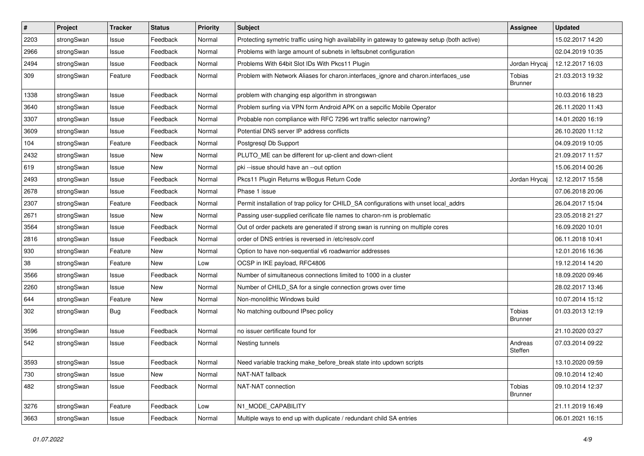| $\sharp$ | Project    | <b>Tracker</b> | <b>Status</b> | <b>Priority</b> | <b>Subject</b>                                                                                | <b>Assignee</b>          | <b>Updated</b>   |
|----------|------------|----------------|---------------|-----------------|-----------------------------------------------------------------------------------------------|--------------------------|------------------|
| 2203     | strongSwan | Issue          | Feedback      | Normal          | Protecting symetric traffic using high availability in gateway to gateway setup (both active) |                          | 15.02.2017 14:20 |
| 2966     | strongSwan | Issue          | Feedback      | Normal          | Problems with large amount of subnets in leftsubnet configuration                             |                          | 02.04.2019 10:35 |
| 2494     | strongSwan | Issue          | Feedback      | Normal          | Problems With 64bit Slot IDs With Pkcs11 Plugin                                               | Jordan Hrycaj            | 12.12.2017 16:03 |
| 309      | strongSwan | Feature        | Feedback      | Normal          | Problem with Network Aliases for charon.interfaces_ignore and charon.interfaces_use           | Tobias<br><b>Brunner</b> | 21.03.2013 19:32 |
| 1338     | strongSwan | Issue          | Feedback      | Normal          | problem with changing esp algorithm in strongswan                                             |                          | 10.03.2016 18:23 |
| 3640     | strongSwan | Issue          | Feedback      | Normal          | Problem surfing via VPN form Android APK on a sepcific Mobile Operator                        |                          | 26.11.2020 11:43 |
| 3307     | strongSwan | Issue          | Feedback      | Normal          | Probable non compliance with RFC 7296 wrt traffic selector narrowing?                         |                          | 14.01.2020 16:19 |
| 3609     | strongSwan | Issue          | Feedback      | Normal          | Potential DNS server IP address conflicts                                                     |                          | 26.10.2020 11:12 |
| 104      | strongSwan | Feature        | Feedback      | Normal          | Postgresql Db Support                                                                         |                          | 04.09.2019 10:05 |
| 2432     | strongSwan | Issue          | New           | Normal          | PLUTO_ME can be different for up-client and down-client                                       |                          | 21.09.2017 11:57 |
| 619      | strongSwan | Issue          | New           | Normal          | pki --issue should have an --out option                                                       |                          | 15.06.2014 00:26 |
| 2493     | strongSwan | Issue          | Feedback      | Normal          | Pkcs11 Plugin Returns w/Bogus Return Code                                                     | Jordan Hrycaj            | 12.12.2017 15:58 |
| 2678     | strongSwan | Issue          | Feedback      | Normal          | Phase 1 issue                                                                                 |                          | 07.06.2018 20:06 |
| 2307     | strongSwan | Feature        | Feedback      | Normal          | Permit installation of trap policy for CHILD_SA configurations with unset local_addrs         |                          | 26.04.2017 15:04 |
| 2671     | strongSwan | Issue          | New           | Normal          | Passing user-supplied cerificate file names to charon-nm is problematic                       |                          | 23.05.2018 21:27 |
| 3564     | strongSwan | Issue          | Feedback      | Normal          | Out of order packets are generated if strong swan is running on multiple cores                |                          | 16.09.2020 10:01 |
| 2816     | strongSwan | Issue          | Feedback      | Normal          | order of DNS entries is reversed in /etc/resolv.conf                                          |                          | 06.11.2018 10:41 |
| 930      | strongSwan | Feature        | New           | Normal          | Option to have non-sequential v6 roadwarrior addresses                                        |                          | 12.01.2016 16:36 |
| 38       | strongSwan | Feature        | New           | Low             | OCSP in IKE payload, RFC4806                                                                  |                          | 19.12.2014 14:20 |
| 3566     | strongSwan | Issue          | Feedback      | Normal          | Number of simultaneous connections limited to 1000 in a cluster                               |                          | 18.09.2020 09:46 |
| 2260     | strongSwan | Issue          | <b>New</b>    | Normal          | Number of CHILD_SA for a single connection grows over time                                    |                          | 28.02.2017 13:46 |
| 644      | strongSwan | Feature        | New           | Normal          | Non-monolithic Windows build                                                                  |                          | 10.07.2014 15:12 |
| 302      | strongSwan | <b>Bug</b>     | Feedback      | Normal          | No matching outbound IPsec policy                                                             | Tobias<br><b>Brunner</b> | 01.03.2013 12:19 |
| 3596     | strongSwan | Issue          | Feedback      | Normal          | no issuer certificate found for                                                               |                          | 21.10.2020 03:27 |
| 542      | strongSwan | Issue          | Feedback      | Normal          | Nesting tunnels                                                                               | Andreas<br>Steffen       | 07.03.2014 09:22 |
| 3593     | strongSwan | Issue          | Feedback      | Normal          | Need variable tracking make_before_break state into updown scripts                            |                          | 13.10.2020 09:59 |
| 730      | strongSwan | Issue          | New           | Normal          | NAT-NAT fallback                                                                              |                          | 09.10.2014 12:40 |
| 482      | strongSwan | Issue          | Feedback      | Normal          | NAT-NAT connection                                                                            | Tobias<br><b>Brunner</b> | 09.10.2014 12:37 |
| 3276     | strongSwan | Feature        | Feedback      | Low             | N1_MODE_CAPABILITY                                                                            |                          | 21.11.2019 16:49 |
| 3663     | strongSwan | Issue          | Feedback      | Normal          | Multiple ways to end up with duplicate / redundant child SA entries                           |                          | 06.01.2021 16:15 |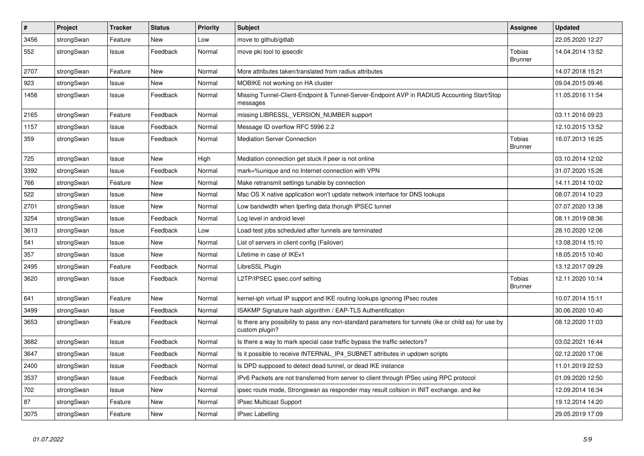| $\vert$ # | Project    | <b>Tracker</b> | <b>Status</b> | <b>Priority</b> | <b>Subject</b>                                                                                                          | <b>Assignee</b>                 | <b>Updated</b>   |
|-----------|------------|----------------|---------------|-----------------|-------------------------------------------------------------------------------------------------------------------------|---------------------------------|------------------|
| 3456      | strongSwan | Feature        | New           | Low             | move to github/gitlab                                                                                                   |                                 | 22.05.2020 12:27 |
| 552       | strongSwan | Issue          | Feedback      | Normal          | move pki tool to ipsecdir                                                                                               | <b>Tobias</b><br><b>Brunner</b> | 14.04.2014 13:52 |
| 2707      | strongSwan | Feature        | <b>New</b>    | Normal          | More attributes taken/translated from radius attributes                                                                 |                                 | 14.07.2018 15:21 |
| 923       | strongSwan | Issue          | <b>New</b>    | Normal          | MOBIKE not working on HA cluster                                                                                        |                                 | 09.04.2015 09:46 |
| 1456      | strongSwan | Issue          | Feedback      | Normal          | Missing Tunnel-Client-Endpoint & Tunnel-Server-Endpoint AVP in RADIUS Accounting Start/Stop<br>messages                 |                                 | 11.05.2016 11:54 |
| 2165      | strongSwan | Feature        | Feedback      | Normal          | missing LIBRESSL_VERSION_NUMBER support                                                                                 |                                 | 03.11.2016 09:23 |
| 1157      | strongSwan | Issue          | Feedback      | Normal          | Message ID overflow RFC 5996 2.2                                                                                        |                                 | 12.10.2015 13:52 |
| 359       | strongSwan | Issue          | Feedback      | Normal          | <b>Mediation Server Connection</b>                                                                                      | Tobias<br><b>Brunner</b>        | 16.07.2013 16:25 |
| 725       | strongSwan | Issue          | New           | High            | Mediation connection get stuck if peer is not online                                                                    |                                 | 03.10.2014 12:02 |
| 3392      | strongSwan | Issue          | Feedback      | Normal          | mark=%unique and no Internet-connection with VPN                                                                        |                                 | 31.07.2020 15:26 |
| 766       | strongSwan | Feature        | <b>New</b>    | Normal          | Make retransmit settings tunable by connection                                                                          |                                 | 14.11.2014 10:02 |
| 522       | strongSwan | Issue          | <b>New</b>    | Normal          | Mac OS X native application won't update network interface for DNS lookups                                              |                                 | 08.07.2014 10:23 |
| 2701      | strongSwan | Issue          | <b>New</b>    | Normal          | Low bandwidth when Iperfing data thorugh IPSEC tunnel                                                                   |                                 | 07.07.2020 13:38 |
| 3254      | strongSwan | Issue          | Feedback      | Normal          | Log level in android level                                                                                              |                                 | 08.11.2019 08:36 |
| 3613      | strongSwan | Issue          | Feedback      | Low             | Load-test jobs scheduled after tunnels are terminated                                                                   |                                 | 28.10.2020 12:06 |
| 541       | strongSwan | Issue          | <b>New</b>    | Normal          | List of servers in client config (Failover)                                                                             |                                 | 13.08.2014 15:10 |
| 357       | strongSwan | Issue          | <b>New</b>    | Normal          | Lifetime in case of IKEv1                                                                                               |                                 | 18.05.2015 10:40 |
| 2495      | strongSwan | Feature        | Feedback      | Normal          | LibreSSL Plugin                                                                                                         |                                 | 13.12.2017 09:29 |
| 3620      | strongSwan | Issue          | Feedback      | Normal          | L2TP/IPSEC ipsec.conf setting                                                                                           | Tobias<br><b>Brunner</b>        | 12.11.2020 10:14 |
| 641       | strongSwan | Feature        | New           | Normal          | kernel-iph virtual IP support and IKE routing lookups ignoring IPsec routes                                             |                                 | 10.07.2014 15:11 |
| 3499      | strongSwan | Issue          | Feedback      | Normal          | ISAKMP Signature hash algorithm / EAP-TLS Authentification                                                              |                                 | 30.06.2020 10:40 |
| 3653      | strongSwan | Feature        | Feedback      | Normal          | Is there any possibility to pass any non-standard parameters for tunnels (ike or child sa) for use by<br>custom plugin? |                                 | 08.12.2020 11:03 |
| 3682      | strongSwan | Issue          | Feedback      | Normal          | Is there a way to mark special case traffic bypass the traffic selectors?                                               |                                 | 03.02.2021 16:44 |
| 3647      | strongSwan | Issue          | Feedback      | Normal          | Is it possible to receive INTERNAL IP4 SUBNET attributes in updown scripts                                              |                                 | 02.12.2020 17:06 |
| 2400      | strongSwan | Issue          | Feedback      | Normal          | Is DPD supposed to detect dead tunnel, or dead IKE instance                                                             |                                 | 11.01.2019 22:53 |
| 3537      | strongSwan | Issue          | Feedback      | Normal          | IPv6 Packets are not transferred from server to client through IPSec using RPC protocol                                 |                                 | 01.09.2020 12:50 |
| 702       | strongSwan | Issue          | <b>New</b>    | Normal          | ipsec route mode, Strongswan as responder may result collsion in INIT exchange. and ike                                 |                                 | 12.09.2014 16:34 |
| 87        | strongSwan | Feature        | New           | Normal          | IPsec Multicast Support                                                                                                 |                                 | 19.12.2014 14:20 |
| 3075      | strongSwan | Feature        | New           | Normal          | <b>IPsec Labelling</b>                                                                                                  |                                 | 29.05.2019 17:09 |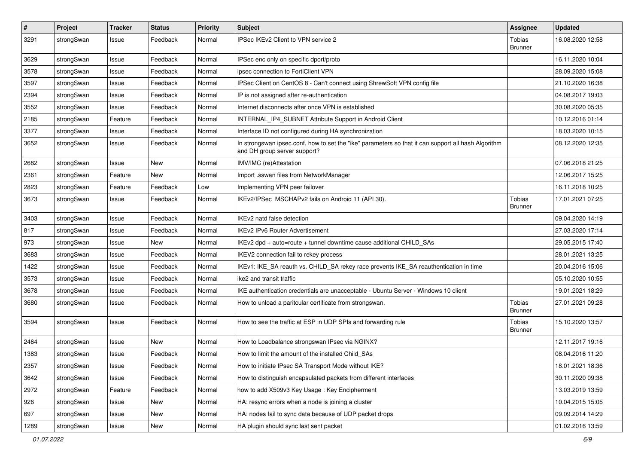| $\sharp$ | Project    | <b>Tracker</b> | <b>Status</b> | <b>Priority</b> | <b>Subject</b>                                                                                                                      | <b>Assignee</b>          | <b>Updated</b>   |
|----------|------------|----------------|---------------|-----------------|-------------------------------------------------------------------------------------------------------------------------------------|--------------------------|------------------|
| 3291     | strongSwan | Issue          | Feedback      | Normal          | IPSec IKEv2 Client to VPN service 2                                                                                                 | Tobias<br><b>Brunner</b> | 16.08.2020 12:58 |
| 3629     | strongSwan | Issue          | Feedback      | Normal          | IPSec enc only on specific dport/proto                                                                                              |                          | 16.11.2020 10:04 |
| 3578     | strongSwan | Issue          | Feedback      | Normal          | ipsec connection to FortiClient VPN                                                                                                 |                          | 28.09.2020 15:08 |
| 3597     | strongSwan | Issue          | Feedback      | Normal          | IPSec Client on CentOS 8 - Can't connect using ShrewSoft VPN config file                                                            |                          | 21.10.2020 16:38 |
| 2394     | strongSwan | Issue          | Feedback      | Normal          | IP is not assigned after re-authentication                                                                                          |                          | 04.08.2017 19:03 |
| 3552     | strongSwan | Issue          | Feedback      | Normal          | Internet disconnects after once VPN is established                                                                                  |                          | 30.08.2020 05:35 |
| 2185     | strongSwan | Feature        | Feedback      | Normal          | INTERNAL_IP4_SUBNET Attribute Support in Android Client                                                                             |                          | 10.12.2016 01:14 |
| 3377     | strongSwan | Issue          | Feedback      | Normal          | Interface ID not configured during HA synchronization                                                                               |                          | 18.03.2020 10:15 |
| 3652     | strongSwan | Issue          | Feedback      | Normal          | In strongswan ipsec.conf, how to set the "ike" parameters so that it can support all hash Algorithm<br>and DH group server support? |                          | 08.12.2020 12:35 |
| 2682     | strongSwan | Issue          | New           | Normal          | IMV/IMC (re)Attestation                                                                                                             |                          | 07.06.2018 21:25 |
| 2361     | strongSwan | Feature        | New           | Normal          | Import .sswan files from NetworkManager                                                                                             |                          | 12.06.2017 15:25 |
| 2823     | strongSwan | Feature        | Feedback      | Low             | Implementing VPN peer failover                                                                                                      |                          | 16.11.2018 10:25 |
| 3673     | strongSwan | Issue          | Feedback      | Normal          | IKEv2/IPSec MSCHAPv2 fails on Android 11 (API 30).                                                                                  | Tobias<br><b>Brunner</b> | 17.01.2021 07:25 |
| 3403     | strongSwan | Issue          | Feedback      | Normal          | IKEv2 natd false detection                                                                                                          |                          | 09.04.2020 14:19 |
| 817      | strongSwan | Issue          | Feedback      | Normal          | IKEv2 IPv6 Router Advertisement                                                                                                     |                          | 27.03.2020 17:14 |
| 973      | strongSwan | Issue          | <b>New</b>    | Normal          | IKEv2 dpd + auto=route + tunnel downtime cause additional CHILD_SAs                                                                 |                          | 29.05.2015 17:40 |
| 3683     | strongSwan | Issue          | Feedback      | Normal          | IKEV2 connection fail to rekey process                                                                                              |                          | 28.01.2021 13:25 |
| 1422     | strongSwan | Issue          | Feedback      | Normal          | IKEv1: IKE_SA reauth vs. CHILD_SA rekey race prevents IKE_SA reauthentication in time                                               |                          | 20.04.2016 15:06 |
| 3573     | strongSwan | Issue          | Feedback      | Normal          | ike2 and transit traffic                                                                                                            |                          | 05.10.2020 10:55 |
| 3678     | strongSwan | Issue          | Feedback      | Normal          | IKE authentication credentials are unacceptable - Ubuntu Server - Windows 10 client                                                 |                          | 19.01.2021 18:29 |
| 3680     | strongSwan | Issue          | Feedback      | Normal          | How to unload a paritcular certificate from strongswan.                                                                             | Tobias<br><b>Brunner</b> | 27.01.2021 09:28 |
| 3594     | strongSwan | Issue          | Feedback      | Normal          | How to see the traffic at ESP in UDP SPIs and forwarding rule                                                                       | Tobias<br><b>Brunner</b> | 15.10.2020 13:57 |
| 2464     | strongSwan | Issue          | New           | Normal          | How to Loadbalance strongswan IPsec via NGINX?                                                                                      |                          | 12.11.2017 19:16 |
| 1383     | strongSwan | Issue          | Feedback      | Normal          | How to limit the amount of the installed Child SAs                                                                                  |                          | 08.04.2016 11:20 |
| 2357     | strongSwan | Issue          | Feedback      | Normal          | How to initiate IPsec SA Transport Mode without IKE?                                                                                |                          | 18.01.2021 18:36 |
| 3642     | strongSwan | Issue          | Feedback      | Normal          | How to distinguish encapsulated packets from different interfaces                                                                   |                          | 30.11.2020 09:38 |
| 2972     | strongSwan | Feature        | Feedback      | Normal          | how to add X509v3 Key Usage: Key Encipherment                                                                                       |                          | 13.03.2019 13:59 |
| 926      | strongSwan | Issue          | New           | Normal          | HA: resync errors when a node is joining a cluster                                                                                  |                          | 10.04.2015 15:05 |
| 697      | strongSwan | Issue          | New           | Normal          | HA: nodes fail to sync data because of UDP packet drops                                                                             |                          | 09.09.2014 14:29 |
| 1289     | strongSwan | Issue          | New           | Normal          | HA plugin should sync last sent packet                                                                                              |                          | 01.02.2016 13:59 |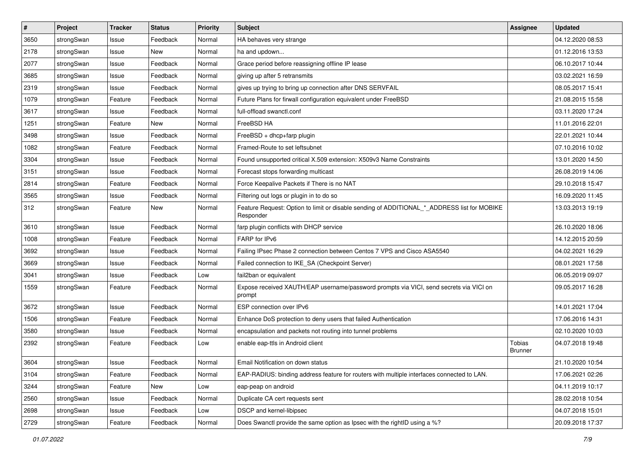| $\vert$ # | Project    | <b>Tracker</b> | <b>Status</b> | <b>Priority</b> | <b>Subject</b>                                                                                           | <b>Assignee</b>          | <b>Updated</b>   |
|-----------|------------|----------------|---------------|-----------------|----------------------------------------------------------------------------------------------------------|--------------------------|------------------|
| 3650      | strongSwan | Issue          | Feedback      | Normal          | HA behaves very strange                                                                                  |                          | 04.12.2020 08:53 |
| 2178      | strongSwan | Issue          | New           | Normal          | ha and updown                                                                                            |                          | 01.12.2016 13:53 |
| 2077      | strongSwan | Issue          | Feedback      | Normal          | Grace period before reassigning offline IP lease                                                         |                          | 06.10.2017 10:44 |
| 3685      | strongSwan | Issue          | Feedback      | Normal          | giving up after 5 retransmits                                                                            |                          | 03.02.2021 16:59 |
| 2319      | strongSwan | Issue          | Feedback      | Normal          | gives up trying to bring up connection after DNS SERVFAIL                                                |                          | 08.05.2017 15:41 |
| 1079      | strongSwan | Feature        | Feedback      | Normal          | Future Plans for firwall configuration equivalent under FreeBSD                                          |                          | 21.08.2015 15:58 |
| 3617      | strongSwan | Issue          | Feedback      | Normal          | full-offload swanctl.conf                                                                                |                          | 03.11.2020 17:24 |
| 1251      | strongSwan | Feature        | New           | Normal          | FreeBSD HA                                                                                               |                          | 11.01.2016 22:01 |
| 3498      | strongSwan | Issue          | Feedback      | Normal          | FreeBSD + dhcp+farp plugin                                                                               |                          | 22.01.2021 10:44 |
| 1082      | strongSwan | Feature        | Feedback      | Normal          | Framed-Route to set leftsubnet                                                                           |                          | 07.10.2016 10:02 |
| 3304      | strongSwan | Issue          | Feedback      | Normal          | Found unsupported critical X.509 extension: X509v3 Name Constraints                                      |                          | 13.01.2020 14:50 |
| 3151      | strongSwan | Issue          | Feedback      | Normal          | Forecast stops forwarding multicast                                                                      |                          | 26.08.2019 14:06 |
| 2814      | strongSwan | Feature        | Feedback      | Normal          | Force Keepalive Packets if There is no NAT                                                               |                          | 29.10.2018 15:47 |
| 3565      | strongSwan | Issue          | Feedback      | Normal          | Filtering out logs or plugin in to do so                                                                 |                          | 16.09.2020 11:45 |
| 312       | strongSwan | Feature        | New           | Normal          | Feature Request: Option to limit or disable sending of ADDITIONAL_*_ADDRESS list for MOBIKE<br>Responder |                          | 13.03.2013 19:19 |
| 3610      | strongSwan | Issue          | Feedback      | Normal          | farp plugin conflicts with DHCP service                                                                  |                          | 26.10.2020 18:06 |
| 1008      | strongSwan | Feature        | Feedback      | Normal          | FARP for IPv6                                                                                            |                          | 14.12.2015 20:59 |
| 3692      | strongSwan | Issue          | Feedback      | Normal          | Failing IPsec Phase 2 connection between Centos 7 VPS and Cisco ASA5540                                  |                          | 04.02.2021 16:29 |
| 3669      | strongSwan | Issue          | Feedback      | Normal          | Failed connection to IKE_SA (Checkpoint Server)                                                          |                          | 08.01.2021 17:58 |
| 3041      | strongSwan | Issue          | Feedback      | Low             | fail2ban or equivalent                                                                                   |                          | 06.05.2019 09:07 |
| 1559      | strongSwan | Feature        | Feedback      | Normal          | Expose received XAUTH/EAP username/password prompts via VICI, send secrets via VICI on<br>prompt         |                          | 09.05.2017 16:28 |
| 3672      | strongSwan | Issue          | Feedback      | Normal          | ESP connection over IPv6                                                                                 |                          | 14.01.2021 17:04 |
| 1506      | strongSwan | Feature        | Feedback      | Normal          | Enhance DoS protection to deny users that failed Authentication                                          |                          | 17.06.2016 14:31 |
| 3580      | strongSwan | Issue          | Feedback      | Normal          | encapsulation and packets not routing into tunnel problems                                               |                          | 02.10.2020 10:03 |
| 2392      | strongSwan | Feature        | Feedback      | Low             | enable eap-ttls in Android client                                                                        | Tobias<br><b>Brunner</b> | 04.07.2018 19:48 |
| 3604      | strongSwan | Issue          | Feedback      | Normal          | Email Notification on down status                                                                        |                          | 21.10.2020 10:54 |
| 3104      | strongSwan | Feature        | Feedback      | Normal          | EAP-RADIUS: binding address feature for routers with multiple interfaces connected to LAN.               |                          | 17.06.2021 02:26 |
| 3244      | strongSwan | Feature        | New           | Low             | eap-peap on android                                                                                      |                          | 04.11.2019 10:17 |
| 2560      | strongSwan | Issue          | Feedback      | Normal          | Duplicate CA cert requests sent                                                                          |                          | 28.02.2018 10:54 |
| 2698      | strongSwan | Issue          | Feedback      | Low             | DSCP and kernel-libipsec                                                                                 |                          | 04.07.2018 15:01 |
| 2729      | strongSwan | Feature        | Feedback      | Normal          | Does Swanctl provide the same option as Ipsec with the rightID using a %?                                |                          | 20.09.2018 17:37 |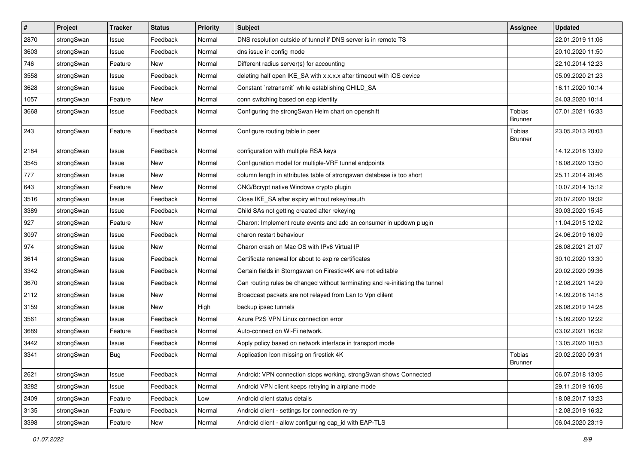| $\vert$ # | Project    | <b>Tracker</b> | <b>Status</b> | Priority | Subject                                                                       | <b>Assignee</b>          | <b>Updated</b>   |
|-----------|------------|----------------|---------------|----------|-------------------------------------------------------------------------------|--------------------------|------------------|
| 2870      | strongSwan | Issue          | Feedback      | Normal   | DNS resolution outside of tunnel if DNS server is in remote TS                |                          | 22.01.2019 11:06 |
| 3603      | strongSwan | Issue          | Feedback      | Normal   | dns issue in config mode                                                      |                          | 20.10.2020 11:50 |
| 746       | strongSwan | Feature        | New           | Normal   | Different radius server(s) for accounting                                     |                          | 22.10.2014 12:23 |
| 3558      | strongSwan | Issue          | Feedback      | Normal   | deleting half open IKE_SA with x.x.x.x after timeout with iOS device          |                          | 05.09.2020 21:23 |
| 3628      | strongSwan | Issue          | Feedback      | Normal   | Constant `retransmit` while establishing CHILD_SA                             |                          | 16.11.2020 10:14 |
| 1057      | strongSwan | Feature        | New           | Normal   | conn switching based on eap identity                                          |                          | 24.03.2020 10:14 |
| 3668      | strongSwan | Issue          | Feedback      | Normal   | Configuring the strongSwan Helm chart on openshift                            | Tobias<br><b>Brunner</b> | 07.01.2021 16:33 |
| 243       | strongSwan | Feature        | Feedback      | Normal   | Configure routing table in peer                                               | Tobias<br><b>Brunner</b> | 23.05.2013 20:03 |
| 2184      | strongSwan | Issue          | Feedback      | Normal   | configuration with multiple RSA keys                                          |                          | 14.12.2016 13:09 |
| 3545      | strongSwan | Issue          | <b>New</b>    | Normal   | Configuration model for multiple-VRF tunnel endpoints                         |                          | 18.08.2020 13:50 |
| 777       | strongSwan | Issue          | New           | Normal   | column length in attributes table of strongswan database is too short         |                          | 25.11.2014 20:46 |
| 643       | strongSwan | Feature        | New           | Normal   | CNG/Bcrypt native Windows crypto plugin                                       |                          | 10.07.2014 15:12 |
| 3516      | strongSwan | Issue          | Feedback      | Normal   | Close IKE_SA after expiry without rekey/reauth                                |                          | 20.07.2020 19:32 |
| 3389      | strongSwan | Issue          | Feedback      | Normal   | Child SAs not getting created after rekeying                                  |                          | 30.03.2020 15:45 |
| 927       | strongSwan | Feature        | New           | Normal   | Charon: Implement route events and add an consumer in updown plugin           |                          | 11.04.2015 12:02 |
| 3097      | strongSwan | Issue          | Feedback      | Normal   | charon restart behaviour                                                      |                          | 24.06.2019 16:09 |
| 974       | strongSwan | Issue          | New           | Normal   | Charon crash on Mac OS with IPv6 Virtual IP                                   |                          | 26.08.2021 21:07 |
| 3614      | strongSwan | Issue          | Feedback      | Normal   | Certificate renewal for about to expire certificates                          |                          | 30.10.2020 13:30 |
| 3342      | strongSwan | Issue          | Feedback      | Normal   | Certain fields in Storngswan on Firestick4K are not editable                  |                          | 20.02.2020 09:36 |
| 3670      | strongSwan | Issue          | Feedback      | Normal   | Can routing rules be changed without terminating and re-initiating the tunnel |                          | 12.08.2021 14:29 |
| 2112      | strongSwan | Issue          | New           | Normal   | Broadcast packets are not relayed from Lan to Vpn clilent                     |                          | 14.09.2016 14:18 |
| 3159      | strongSwan | Issue          | New           | High     | backup ipsec tunnels                                                          |                          | 26.08.2019 14:28 |
| 3561      | strongSwan | Issue          | Feedback      | Normal   | Azure P2S VPN Linux connection error                                          |                          | 15.09.2020 12:22 |
| 3689      | strongSwan | Feature        | Feedback      | Normal   | Auto-connect on Wi-Fi network.                                                |                          | 03.02.2021 16:32 |
| 3442      | strongSwan | Issue          | Feedback      | Normal   | Apply policy based on network interface in transport mode                     |                          | 13.05.2020 10:53 |
| 3341      | strongSwan | Bug            | Feedback      | Normal   | Application Icon missing on firestick 4K                                      | Tobias<br><b>Brunner</b> | 20.02.2020 09:31 |
| 2621      | strongSwan | Issue          | Feedback      | Normal   | Android: VPN connection stops working, strongSwan shows Connected             |                          | 06.07.2018 13:06 |
| 3282      | strongSwan | Issue          | Feedback      | Normal   | Android VPN client keeps retrying in airplane mode                            |                          | 29.11.2019 16:06 |
| 2409      | strongSwan | Feature        | Feedback      | Low      | Android client status details                                                 |                          | 18.08.2017 13:23 |
| 3135      | strongSwan | Feature        | Feedback      | Normal   | Android client - settings for connection re-try                               |                          | 12.08.2019 16:32 |
| 3398      | strongSwan | Feature        | New           | Normal   | Android client - allow configuring eap_id with EAP-TLS                        |                          | 06.04.2020 23:19 |